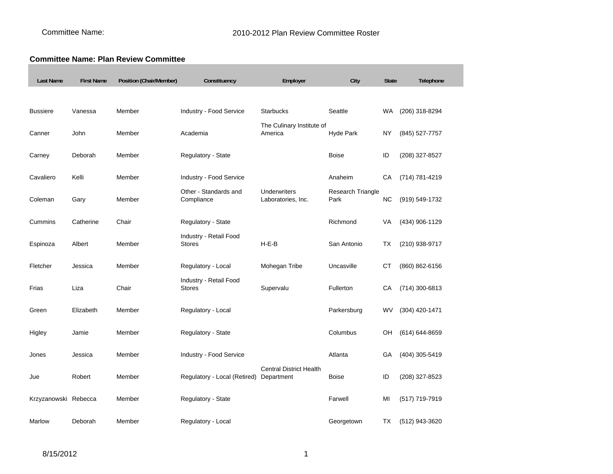## **Committee Name: Plan Review Committee**

| <b>Last Name</b>     | <b>First Name</b> | Position (Chair/Member) | Constituency                            | Employer                             | City                      | <b>State</b> | Telephone      |
|----------------------|-------------------|-------------------------|-----------------------------------------|--------------------------------------|---------------------------|--------------|----------------|
|                      |                   |                         |                                         |                                      |                           |              |                |
| <b>Bussiere</b>      | Vanessa           | Member                  | Industry - Food Service                 | <b>Starbucks</b>                     | Seattle                   | WA           | (206) 318-8294 |
| Canner               | John              | Member                  | Academia                                | The Culinary Institute of<br>America | Hyde Park                 | NY           | (845) 527-7757 |
| Carney               | Deborah           | Member                  | Regulatory - State                      |                                      | <b>Boise</b>              | ID           | (208) 327-8527 |
| Cavaliero            | Kelli             | Member                  | <b>Industry - Food Service</b>          |                                      | Anaheim                   | CA           | (714) 781-4219 |
| Coleman              | Gary              | Member                  | Other - Standards and<br>Compliance     | Underwriters<br>Laboratories, Inc.   | Research Triangle<br>Park | <b>NC</b>    | (919) 549-1732 |
| Cummins              | Catherine         | Chair                   | Regulatory - State                      |                                      | Richmond                  | VA           | (434) 906-1129 |
| Espinoza             | Albert            | Member                  | Industry - Retail Food<br><b>Stores</b> | $H-E-B$                              | San Antonio               | TX           | (210) 938-9717 |
| Fletcher             | Jessica           | Member                  | Regulatory - Local                      | Mohegan Tribe                        | Uncasville                | CТ           | (860) 862-6156 |
| Frias                | Liza              | Chair                   | Industry - Retail Food<br>Stores        | Supervalu                            | Fullerton                 | СA           | (714) 300-6813 |
| Green                | Elizabeth         | Member                  | Regulatory - Local                      |                                      | Parkersburg               | WV           | (304) 420-1471 |
| Higley               | Jamie             | Member                  | Regulatory - State                      |                                      | Columbus                  | OН           | (614) 644-8659 |
| Jones                | Jessica           | Member                  | Industry - Food Service                 |                                      | Atlanta                   | GA           | (404) 305-5419 |
| Jue                  | Robert            | Member                  | Regulatory - Local (Retired) Department | <b>Central District Health</b>       | <b>Boise</b>              | ID           | (208) 327-8523 |
| Krzyzanowski Rebecca |                   | Member                  | Regulatory - State                      |                                      | Farwell                   | MI           | (517) 719-7919 |
| Marlow               | Deborah           | Member                  | Regulatory - Local                      |                                      | Georgetown                | ТX           | (512) 943-3620 |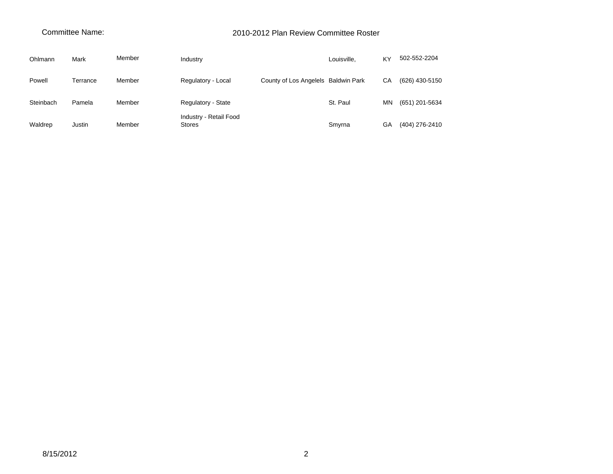## Committee Name:

## 2010-2012 Plan Review Committee Roster

| Ohlmann   | Mark     | Member | Industry                                |                                     | Louisville, | KY | 502-552-2204   |
|-----------|----------|--------|-----------------------------------------|-------------------------------------|-------------|----|----------------|
| Powell    | Terrance | Member | Regulatory - Local                      | County of Los Angelels Baldwin Park |             | CA | (626) 430-5150 |
| Steinbach | Pamela   | Member | Regulatory - State                      |                                     | St. Paul    | MN | (651) 201-5634 |
| Waldrep   | Justin   | Member | Industry - Retail Food<br><b>Stores</b> |                                     | Smyrna      | GА | (404) 276-2410 |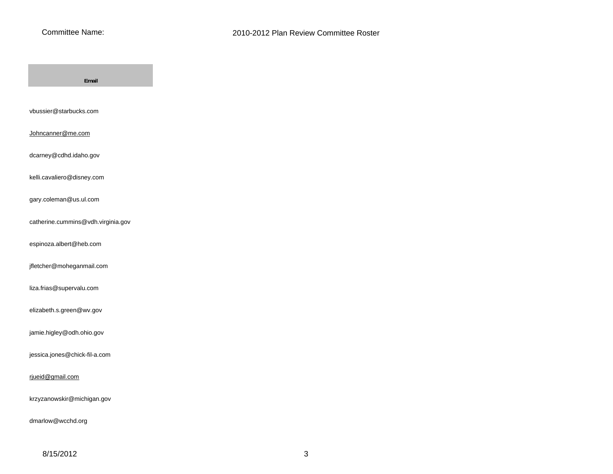

| Email                              |
|------------------------------------|
|                                    |
| vbussier@starbucks.com             |
| Johncanner@me.com                  |
| dcarney@cdhd.idaho.gov             |
| kelli.cavaliero@disney.com         |
| gary.coleman@us.ul.com             |
| catherine.cummins@vdh.virginia.gov |
| espinoza.albert@heb.com            |
| jfletcher@moheganmail.com          |
| liza.frias@supervalu.com           |
| elizabeth.s.green@wv.gov           |
| jamie.higley@odh.ohio.gov          |
| jessica.jones@chick-fil-a.com      |
|                                    |
| rjueid@gmail.com                   |
| krzyzanowskir@michigan.gov         |
| dmarlow@wcchd.org                  |